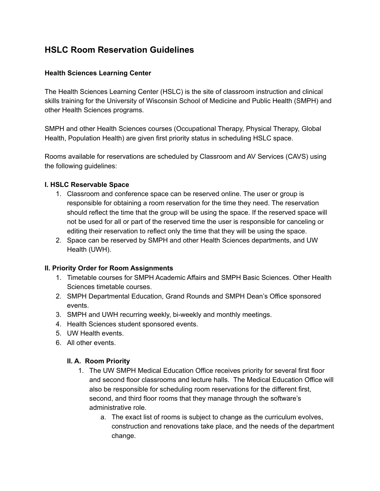# **HSLC Room Reservation Guidelines**

#### **Health Sciences Learning Center**

The Health Sciences Learning Center (HSLC) is the site of classroom instruction and clinical skills training for the University of Wisconsin School of Medicine and Public Health (SMPH) and other Health Sciences programs.

SMPH and other Health Sciences courses (Occupational Therapy, Physical Therapy, Global Health, Population Health) are given first priority status in scheduling HSLC space.

Rooms available for reservations are scheduled by Classroom and AV Services (CAVS) using the following guidelines:

#### **I. HSLC Reservable Space**

- 1. Classroom and conference space can be reserved online. The user or group is responsible for obtaining a room reservation for the time they need. The reservation should reflect the time that the group will be using the space. If the reserved space will not be used for all or part of the reserved time the user is responsible for canceling or editing their reservation to reflect only the time that they will be using the space.
- 2. Space can be reserved by SMPH and other Health Sciences departments, and UW Health (UWH).

#### **II. Priority Order for Room Assignments**

- 1. Timetable courses for SMPH Academic Affairs and SMPH Basic Sciences. Other Health Sciences timetable courses.
- 2. SMPH Departmental Education, Grand Rounds and SMPH Dean's Office sponsored events.
- 3. SMPH and UWH recurring weekly, bi-weekly and monthly meetings.
- 4. Health Sciences student sponsored events.
- 5. UW Health events.
- 6. All other events.

#### **II. A. Room Priority**

- 1. The UW SMPH Medical Education Office receives priority for several first floor and second floor classrooms and lecture halls. The Medical Education Office will also be responsible for scheduling room reservations for the different first, second, and third floor rooms that they manage through the software's administrative role.
	- a. The exact list of rooms is subject to change as the curriculum evolves, construction and renovations take place, and the needs of the department change.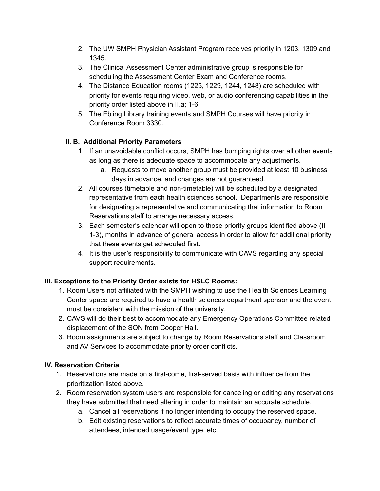- 2. The UW SMPH Physician Assistant Program receives priority in 1203, 1309 and 1345.
- 3. The Clinical Assessment Center administrative group is responsible for scheduling the Assessment Center Exam and Conference rooms.
- 4. The Distance Education rooms (1225, 1229, 1244, 1248) are scheduled with priority for events requiring video, web, or audio conferencing capabilities in the priority order listed above in II.a; 1-6.
- 5. The Ebling Library training events and SMPH Courses will have priority in Conference Room 3330.

## **II. B. Additional Priority Parameters**

- 1. If an unavoidable conflict occurs, SMPH has bumping rights over all other events as long as there is adequate space to accommodate any adjustments.
	- a. Requests to move another group must be provided at least 10 business days in advance, and changes are not guaranteed.
- 2. All courses (timetable and non-timetable) will be scheduled by a designated representative from each health sciences school. Departments are responsible for designating a representative and communicating that information to Room Reservations staff to arrange necessary access.
- 3. Each semester's calendar will open to those priority groups identified above (II 1-3), months in advance of general access in order to allow for additional priority that these events get scheduled first.
- 4. It is the user's responsibility to communicate with CAVS regarding any special support requirements.

## **III. Exceptions to the Priority Order exists for HSLC Rooms:**

- 1. Room Users not affiliated with the SMPH wishing to use the Health Sciences Learning Center space are required to have a health sciences department sponsor and the event must be consistent with the mission of the university.
- 2. CAVS will do their best to accommodate any Emergency Operations Committee related displacement of the SON from Cooper Hall.
- 3. Room assignments are subject to change by Room Reservations staff and Classroom and AV Services to accommodate priority order conflicts.

## **IV. Reservation Criteria**

- 1. Reservations are made on a first-come, first-served basis with influence from the prioritization listed above.
- 2. Room reservation system users are responsible for canceling or editing any reservations they have submitted that need altering in order to maintain an accurate schedule.
	- a. Cancel all reservations if no longer intending to occupy the reserved space.
	- b. Edit existing reservations to reflect accurate times of occupancy, number of attendees, intended usage/event type, etc.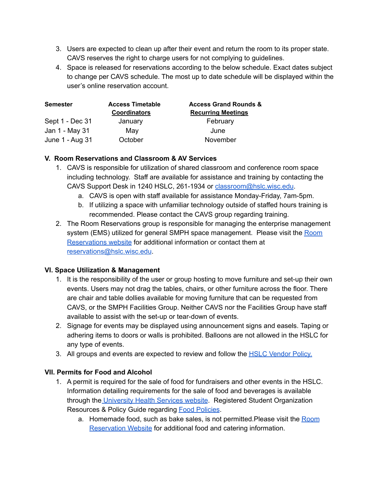- 3. Users are expected to clean up after their event and return the room to its proper state. CAVS reserves the right to charge users for not complying to guidelines.
- 4. Space is released for reservations according to the below schedule. Exact dates subject to change per CAVS schedule. The most up to date schedule will be displayed within the user's online reservation account.

| <b>Semester</b> | <b>Access Timetable</b><br><b>Coordinators</b> | <b>Access Grand Rounds &amp;</b><br><b>Recurring Meetings</b> |
|-----------------|------------------------------------------------|---------------------------------------------------------------|
| Sept 1 - Dec 31 | January                                        | February                                                      |
| Jan 1 - May 31  | May                                            | June                                                          |
| June 1 - Aug 31 | October                                        | November                                                      |

#### **V. Room Reservations and Classroom & AV Services**

- 1. CAVS is responsible for utilization of shared classroom and conference room space including technology. Staff are available for assistance and training by contacting the CAVS Support Desk in 1240 HSLC, 261-1934 or [classroom@hslc.wisc.edu](mailto:classroom@hslc.wisc.edu).
	- a. CAVS is open with staff available for assistance Monday-Friday, 7am-5pm.
	- b. If utilizing a space with unfamiliar technology outside of staffed hours training is recommended. Please contact the CAVS group regarding training.
- 2. The Room Reservations group is responsible for managing the enterprise management system (EMS) utilized for general SMPH space management. Please visit the [Room](https://it.med.wisc.edu/services/room-reservations_smph/) [Reservations](https://it.med.wisc.edu/services/room-reservations_smph/) website for additional information or contact them at [reservations@hslc.wisc.edu](mailto:reservations@hslc.wisc.edu).

## **VI. Space Utilization & Management**

- 1. It is the responsibility of the user or group hosting to move furniture and set-up their own events. Users may not drag the tables, chairs, or other furniture across the floor. There are chair and table dollies available for moving furniture that can be requested from CAVS, or the SMPH Facilities Group. Neither CAVS nor the Facilities Group have staff available to assist with the set-up or tear-down of events.
- 2. Signage for events may be displayed using announcement signs and easels. Taping or adhering items to doors or walls is prohibited. Balloons are not allowed in the HSLC for any type of events.
- 3. All groups and events are expected to review and follow the **HSLC [Vendor](https://www.med.wisc.edu/our-campus/hslc/vendor-policy/) Policy.**

## **VII. Permits for Food and Alcohol**

- 1. A permit is required for the sale of food for fundraisers and other events in the HSLC. Information detailing requirements for the sale of food and beverages is available through the [University](https://ehs.wisc.edu/campus-health-safety/food-safety-licensing/) Health Services website. Registered Student Organization Resources & Policy Guide regarding **Food [Policies](https://guide.cfli.wisc.edu/policies/#food-policies)**.
	- a. Homemade food, such as bake sales, is not permitted.Please visit the [Room](https://it.med.wisc.edu/room-reservations/) [Reservation](https://it.med.wisc.edu/room-reservations/) Website for additional food and catering information.